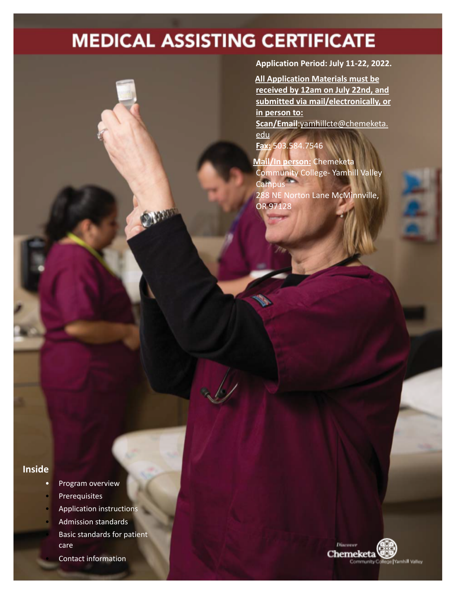# **MEDICAL ASSISTING CERTIFICATE**

**SALES** 

**Application Period: July 11-22, 2022.**

**All Application Materials must be received by 12am on July 22nd, and submitted via mail/electronically, or in person to: Scan/Email**:[yamhillcte@chemeketa.](mailto:yamhillcte@chemeketa.edu) [edu](mailto:yamhillcte@chemeketa.edu) **Fax:** 503.584.7546

**Mail/In person:** Chemeketa Community College- Yamhill Valley **Campus** 288 NE Norton Lane McMinnville, OR 97128

# **Inside**

- Program overview
- **Prerequisites**
- Application instructions
- Admission standards
- Basic standards for patient care
	- Contact information

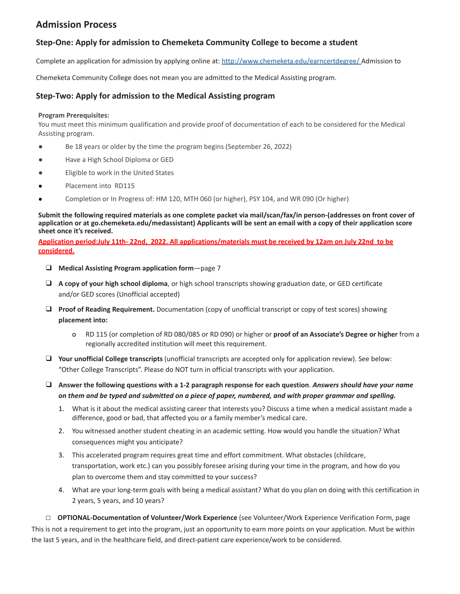# **Admission Process**

## **Step-One: Apply for admission to Chemeketa Community College to become a student**

Complete an application for admission by applying online at: <http://www.chemeketa.edu/earncertdegree/> Admission to

Chemeketa Community College does not mean you are admitted to the Medical Assisting program.

#### **Step-Two: Apply for admission to the Medical Assisting program**

#### **Program Prerequisites:**

You must meet this minimum qualification and provide proof of documentation of each to be considered for the Medical Assisting program.

- Be 18 years or older by the time the program begins (September 26, 2022)
- Have a High School Diploma or GED
- Eligible to work in the United States
- Placement into RD115
- Completion or In Progress of: HM 120, MTH 060 (or higher), PSY 104, and WR 090 (Or higher)

Submit the following required materials as one complete packet via mail/scan/fax/in person-(addresses on front cover of application or at go.chemeketa.edu/medassistant) Applicants will be sent an email with a copy of their application score **sheet once it's received.**

Application period:July 11th-22nd, 2022. All applications/materials must be received by 12am on July 22nd to be **considered.**

- ❑ **Medical Assisting Program application form**—page 7
- ❑ **A copy of your high school diploma**, or high school transcripts showing graduation date, or GED certificate and/or GED scores (Unofficial accepted)
- ❑ **Proof of Reading Requirement.** Documentation (copy of unofficial transcript or copy of test scores) showing **placement into:**
	- o RD 115 (or completion of RD 080/085 or RD 090) or higher or **proof of an Associate's Degree or higher** from a regionally accredited institution will meet this requirement.
- ❑ **Your unofficial College transcripts** (unofficial transcripts are accepted only for application review). See below: "Other College Transcripts". Please do NOT turn in official transcripts with your application.
- $\Box$  Answer the following questions with a 1-2 paragraph response for each question. Answers should have your name on them and be typed and submitted on a piece of paper, numbered, and with proper grammar and spelling.
	- 1. What is it about the medical assisting career that interests you? Discuss a time when a medical assistant made a difference, good or bad, that affected you or a family member's medical care.
	- 2. You witnessed another student cheating in an academic setting. How would you handle the situation? What consequences might you anticipate?
	- 3. This accelerated program requires great time and effort commitment. What obstacles (childcare, transportation, work etc.) can you possibly foresee arising during your time in the program, and how do you plan to overcome them and stay committed to your success?
	- 4. What are your long-term goals with being a medical assistant? What do you plan on doing with this certification in 2 years, 5 years, and 10 years?

**□ OPTIONAL-Documentation of Volunteer/Work Experience** (see Volunteer/Work Experience Verification Form, page This is not a requirement to get into the program, just an opportunity to earn more points on your application. Must be within the last 5 years, and in the healthcare field, and direct-patient care experience/work to be considered.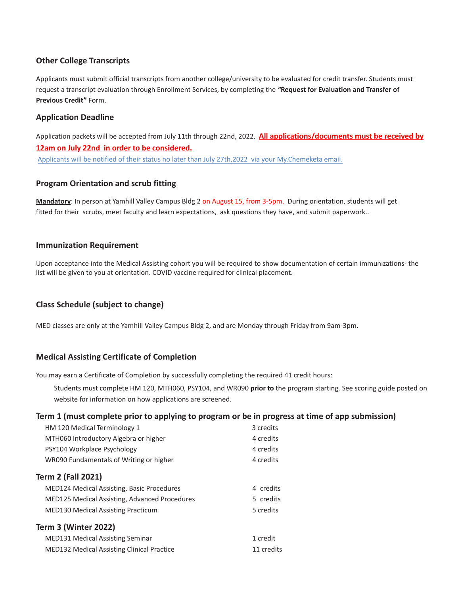# **Other College Transcripts**

Applicants must submit official transcripts from another college/university to be evaluated for credit transfer. Students must request a transcript evaluation through Enrollment Services, by completing the *"***Request for Evaluation and Transfer of Previous Credit"** Form.

# **Application Deadline**

Application packets will be accepted from July 11th through 22nd, 2022. **All applications/documents must be received by 12am on July 22nd in order to be considered.** Applicants will be notified of their status no later than July 27th,2022 via your My.Chemeketa email.

## **Program Orientation and scrub fitting**

**Mandatory**: In person at Yamhill Valley Campus Bldg 2 on August 15, from 3-5pm. During orientation, students will get fitted for their scrubs, meet faculty and learn expectations, ask questions they have, and submit paperwork..

#### **Immunization Requirement**

Upon acceptance into the Medical Assisting cohort you will be required to show documentation of certain immunizations- the list will be given to you at orientation. COVID vaccine required for clinical placement.

# **Class Schedule (subject to change)**

MED classes are only at the Yamhill Valley Campus Bldg 2, and are Monday through Friday from 9am-3pm.

# **Medical Assisting Certificate of Completion**

You may earn a Certificate of Completion by successfully completing the required 41 credit hours:

Students must complete HM 120, MTH060, PSY104, and WR090 **prior to** the program starting. See scoring guide posted on website for information on how applications are screened.

#### **Term 1 (must complete prior to applying to program or be in progress at time of app submission)**

| HM 120 Medical Terminology 1                         | 3 credits  |
|------------------------------------------------------|------------|
| MTH060 Introductory Algebra or higher                | 4 credits  |
| PSY104 Workplace Psychology                          | 4 credits  |
| WR090 Fundamentals of Writing or higher              | 4 credits  |
| Term 2 (Fall 2021)                                   |            |
| <b>MED124 Medical Assisting, Basic Procedures</b>    | 4 credits  |
| <b>MED125 Medical Assisting, Advanced Procedures</b> | 5 credits  |
| <b>MED130 Medical Assisting Practicum</b>            | 5 credits  |
| Term 3 (Winter 2022)                                 |            |
| <b>MED131 Medical Assisting Seminar</b>              | 1 credit   |
| <b>MED132 Medical Assisting Clinical Practice</b>    | 11 credits |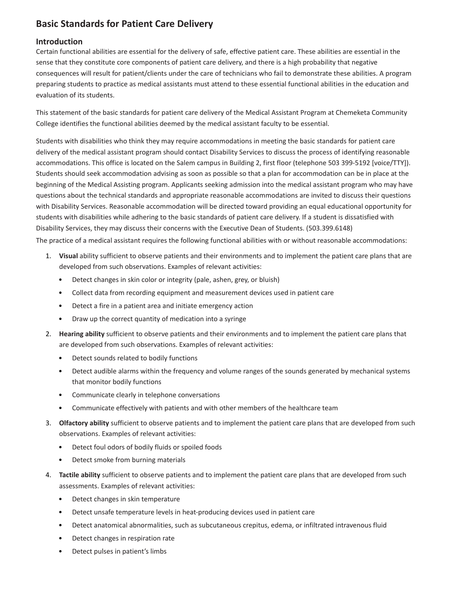# **Basic Standards for Patient Care Delivery**

#### **Introduction**

Certain functional abilities are essential for the delivery of safe, effective patient care. These abilities are essential in the sense that they constitute core components of patient care delivery, and there is a high probability that negative consequences will result for patient/clients under the care of technicians who fail to demonstrate these abilities. A program preparing students to practice as medical assistants must attend to these essential functional abilities in the education and evaluation of its students.

This statement of the basic standards for patient care delivery of the Medical Assistant Program at Chemeketa Community College identifies the functional abilities deemed by the medical assistant faculty to be essential.

Students with disabilities who think they may require accommodations in meeting the basic standards for patient care delivery of the medical assistant program should contact Disability Services to discuss the process of identifying reasonable accommodations. This office is located on the Salem campus in Building 2, first floor (telephone 503 399-5192 [voice/TTY]). Students should seek accommodation advising as soon as possible so that a plan for accommodation can be in place at the beginning of the Medical Assisting program. Applicants seeking admission into the medical assistant program who may have questions about the technical standards and appropriate reasonable accommodations are invited to discuss their questions with Disability Services. Reasonable accommodation will be directed toward providing an equal educational opportunity for students with disabilities while adhering to the basic standards of patient care delivery. If a student is dissatisfied with Disability Services, they may discuss their concerns with the Executive Dean of Students. (503.399.6148)

The practice of a medical assistant requires the following functional abilities with or without reasonable accommodations:

- 1. **Visual** ability sufficient to observe patients and their environments and to implement the patient care plans that are developed from such observations. Examples of relevant activities:
	- Detect changes in skin color or integrity (pale, ashen, grey, or bluish)
	- Collect data from recording equipment and measurement devices used in patient care
	- Detect a fire in a patient area and initiate emergency action
	- Draw up the correct quantity of medication into a syringe
- 2. **Hearing ability** sufficient to observe patients and their environments and to implement the patient care plans that are developed from such observations. Examples of relevant activities:
	- Detect sounds related to bodily functions
	- Detect audible alarms within the frequency and volume ranges of the sounds generated by mechanical systems that monitor bodily functions
	- Communicate clearly in telephone conversations
	- Communicate effectively with patients and with other members of the healthcare team
- 3. **Olfactory ability** sufficient to observe patients and to implement the patient care plans that are developed from such observations. Examples of relevant activities:
	- Detect foul odors of bodily fluids or spoiled foods
	- Detect smoke from burning materials
- 4. **Tactile ability** sufficient to observe patients and to implement the patient care plans that are developed from such assessments. Examples of relevant activities:
	- Detect changes in skin temperature
	- Detect unsafe temperature levels in heat-producing devices used in patient care
	- Detect anatomical abnormalities, such as subcutaneous crepitus, edema, or infiltrated intravenous fluid
	- Detect changes in respiration rate
	- Detect pulses in patient's limbs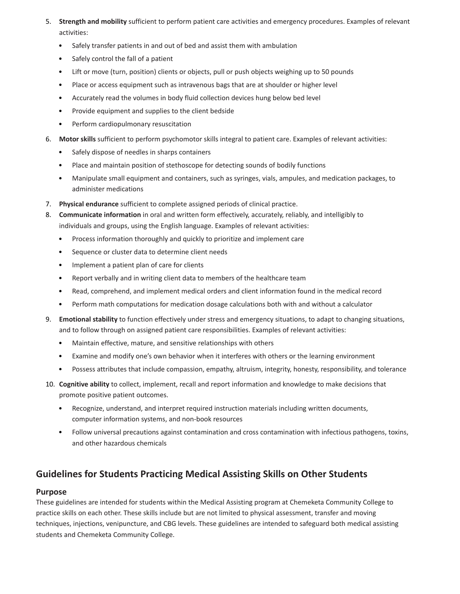- 5. **Strength and mobility** sufficient to perform patient care activities and emergency procedures. Examples of relevant activities:
	- Safely transfer patients in and out of bed and assist them with ambulation
	- Safely control the fall of a patient
	- Lift or move (turn, position) clients or objects, pull or push objects weighing up to 50 pounds
	- Place or access equipment such as intravenous bags that are at shoulder or higher level
	- Accurately read the volumes in body fluid collection devices hung below bed level
	- Provide equipment and supplies to the client bedside
	- Perform cardiopulmonary resuscitation
- 6. **Motor skills** sufficient to perform psychomotor skills integral to patient care. Examples of relevant activities:
	- Safely dispose of needles in sharps containers
	- Place and maintain position of stethoscope for detecting sounds of bodily functions
	- Manipulate small equipment and containers, such as syringes, vials, ampules, and medication packages, to administer medications
- 7. **Physical endurance** sufficient to complete assigned periods of clinical practice.
- 8. **Communicate information** in oral and written form effectively, accurately, reliably, and intelligibly to individuals and groups, using the English language. Examples of relevant activities:
	- Process information thoroughly and quickly to prioritize and implement care
	- Sequence or cluster data to determine client needs
	- Implement a patient plan of care for clients
	- Report verbally and in writing client data to members of the healthcare team
	- Read, comprehend, and implement medical orders and client information found in the medical record
	- Perform math computations for medication dosage calculations both with and without a calculator
- 9. **Emotional stability** to function effectively under stress and emergency situations, to adapt to changing situations, and to follow through on assigned patient care responsibilities. Examples of relevant activities:
	- Maintain effective, mature, and sensitive relationships with others
	- Examine and modify one's own behavior when it interferes with others or the learning environment
	- Possess attributes that include compassion, empathy, altruism, integrity, honesty, responsibility, and tolerance
- 10. **Cognitive ability** to collect, implement, recall and report information and knowledge to make decisions that promote positive patient outcomes.
	- Recognize, understand, and interpret required instruction materials including written documents, computer information systems, and non-book resources
	- Follow universal precautions against contamination and cross contamination with infectious pathogens, toxins, and other hazardous chemicals

# **Guidelines for Students Practicing Medical Assisting Skills on Other Students**

#### **Purpose**

These guidelines are intended for students within the Medical Assisting program at Chemeketa Community College to practice skills on each other. These skills include but are not limited to physical assessment, transfer and moving techniques, injections, venipuncture, and CBG levels. These guidelines are intended to safeguard both medical assisting students and Chemeketa Community College.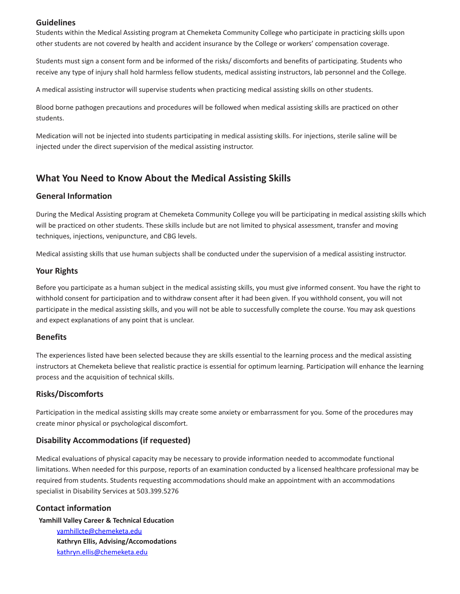#### **Guidelines**

Students within the Medical Assisting program at Chemeketa Community College who participate in practicing skills upon other students are not covered by health and accident insurance by the College or workers' compensation coverage.

Students must sign a consent form and be informed of the risks/ discomforts and benefits of participating. Students who receive any type of injury shall hold harmless fellow students, medical assisting instructors, lab personnel and the College.

A medical assisting instructor will supervise students when practicing medical assisting skills on other students.

Blood borne pathogen precautions and procedures will be followed when medical assisting skills are practiced on other students.

Medication will not be injected into students participating in medical assisting skills. For injections, sterile saline will be injected under the direct supervision of the medical assisting instructor.

# **What You Need to Know About the Medical Assisting Skills**

#### **General Information**

During the Medical Assisting program at Chemeketa Community College you will be participating in medical assisting skills which will be practiced on other students. These skills include but are not limited to physical assessment, transfer and moving techniques, injections, venipuncture, and CBG levels.

Medical assisting skills that use human subjects shall be conducted under the supervision of a medical assisting instructor.

#### **Your Rights**

Before you participate as a human subject in the medical assisting skills, you must give informed consent. You have the right to withhold consent for participation and to withdraw consent after it had been given. If you withhold consent, you will not participate in the medical assisting skills, and you will not be able to successfully complete the course. You may ask questions and expect explanations of any point that is unclear.

#### **Benefits**

The experiences listed have been selected because they are skills essential to the learning process and the medical assisting instructors at Chemeketa believe that realistic practice is essential for optimum learning. Participation will enhance the learning process and the acquisition of technical skills.

#### **Risks/Discomforts**

Participation in the medical assisting skills may create some anxiety or embarrassment for you. Some of the procedures may create minor physical or psychological discomfort.

#### **Disability Accommodations (if requested)**

Medical evaluations of physical capacity may be necessary to provide information needed to accommodate functional limitations. When needed for this purpose, reports of an examination conducted by a licensed healthcare professional may be required from students. Students requesting accommodations should make an appointment with an accommodations specialist in Disability Services at 503.399.5276

#### **Contact information**

**Yamhill Valley Career & Technical Education** yamhillcte@chemeketa.edu **Kathryn Ellis, Advising/Accomodations** kathryn.ellis@chemeketa.edu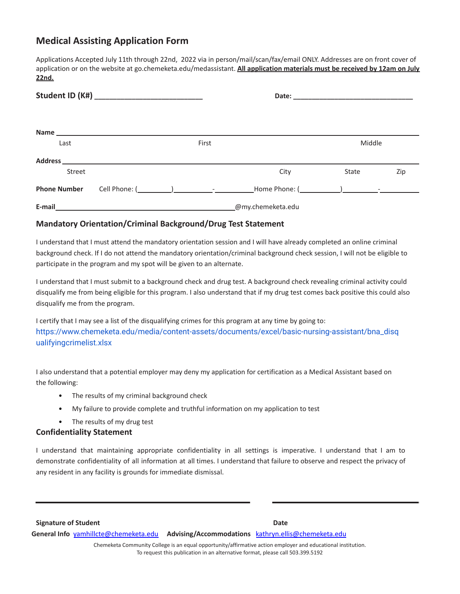# **Medical Assisting Application Form**

Applications Accepted July 11th through 22nd, 2022 via in person/mail/scan/fax/email ONLY. Addresses are on front cover of application or on the website at go.chemeketa.edu/medassistant. **All application materials must be received by 12am on July 22nd.**

| Last                |                                                            | Middle<br>First |  |                   |       |     |
|---------------------|------------------------------------------------------------|-----------------|--|-------------------|-------|-----|
|                     |                                                            |                 |  |                   |       |     |
| Street              |                                                            |                 |  | City              | State | Zip |
| <b>Phone Number</b> |                                                            |                 |  |                   |       |     |
| E-mail              | <u> 1989 - Johann Barn, amerikansk politiker (d. 1989)</u> |                 |  | @my.chemeketa.edu |       |     |

#### **Mandatory Orientation/Criminal Background/Drug Test Statement**

I understand that I must attend the mandatory orientation session and I will have already completed an online criminal background check. If I do not attend the mandatory orientation/criminal background check session, I will not be eligible to participate in the program and my spot will be given to an alternate.

I understand that I must submit to a background check and drug test. A background check revealing criminal activity could disqualify me from being eligible for this program. I also understand that if my drug test comes back positive this could also disqualify me from the program.

I certify that I may see a list of the disqualifying crimes for this pr[ogram](http://www/) at any time by going to: [https://www.chemeketa.edu/media/content-assets/documents/excel/basic-nursing-assistant/bna\\_disq](https://www.chemeketa.edu/media/content-assets/documents/excel/basic-nursing-assistant/bna_disqualifyingcrimelist.xlsx) [ualifyingcrimelist.xlsx](https://www.chemeketa.edu/media/content-assets/documents/excel/basic-nursing-assistant/bna_disqualifyingcrimelist.xlsx)

I also understand that a potential employer may deny my application for certification as a Medical Assistant based on the following:

- The results of my criminal background check
- My failure to provide complete and truthful information on my application to test
- The results of my drug test

#### **Confidentiality Statement**

I understand that maintaining appropriate confidentiality in all settings is imperative. I understand that I am to demonstrate confidentiality of all information at all times. I understand that failure to observe and respect the privacy of any resident in any facility is grounds for immediate dismissal.

**Signature of Student Date General Info** [yamhillcte@chemeketa.edu](mailto:yamhillcte@chemeketa.edu) **Advising/Accommodations** [kathryn.ellis@chemeketa.edu](mailto:kathryn.ellis@chemeketa.edu) Chemeketa Community College is an equal opportunity/affirmative action employer and educational institution.

To request this publication in an alternative format, please call 503.399.5192